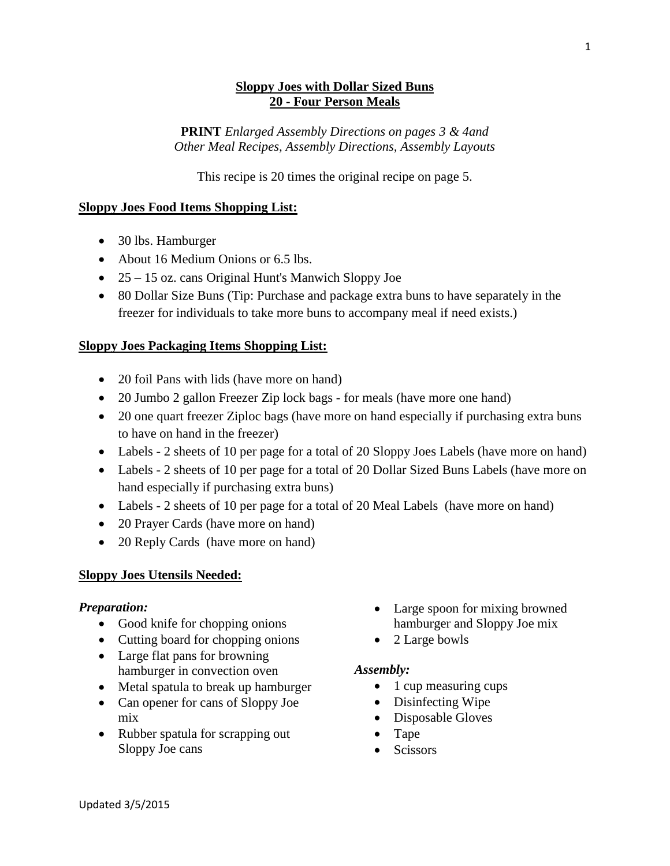## **Sloppy Joes with Dollar Sized Buns 20 - Four Person Meals**

**PRINT** *Enlarged Assembly Directions on pages 3 & 4and Other Meal Recipes, Assembly Directions, Assembly Layouts*

This recipe is 20 times the original recipe on page 5.

## **Sloppy Joes Food Items Shopping List:**

- 30 lbs. Hamburger
- About 16 Medium Onions or 6.5 lbs.
- 25 15 oz. cans Original Hunt's Manwich Sloppy Joe
- 80 Dollar Size Buns (Tip: Purchase and package extra buns to have separately in the freezer for individuals to take more buns to accompany meal if need exists.)

## **Sloppy Joes Packaging Items Shopping List:**

- 20 foil Pans with lids (have more on hand)
- 20 Jumbo 2 gallon Freezer Zip lock bags for meals (have more one hand)
- 20 one quart freezer Ziploc bags (have more on hand especially if purchasing extra buns to have on hand in the freezer)
- Labels 2 sheets of 10 per page for a total of 20 Sloppy Joes Labels (have more on hand)
- Labels 2 sheets of 10 per page for a total of 20 Dollar Sized Buns Labels (have more on hand especially if purchasing extra buns)
- Labels 2 sheets of 10 per page for a total of 20 Meal Labels (have more on hand)
- 20 Prayer Cards (have more on hand)
- 20 Reply Cards (have more on hand)

## **Sloppy Joes Utensils Needed:**

## *Preparation:*

- Good knife for chopping onions
- Cutting board for chopping onions
- Large flat pans for browning hamburger in convection oven
- Metal spatula to break up hamburger
- Can opener for cans of Sloppy Joe mix
- Rubber spatula for scrapping out Sloppy Joe cans
- Large spoon for mixing browned hamburger and Sloppy Joe mix
- 2 Large bowls

## *Assembly:*

- 1 cup measuring cups
- Disinfecting Wipe
- Disposable Gloves
- Tape
- Scissors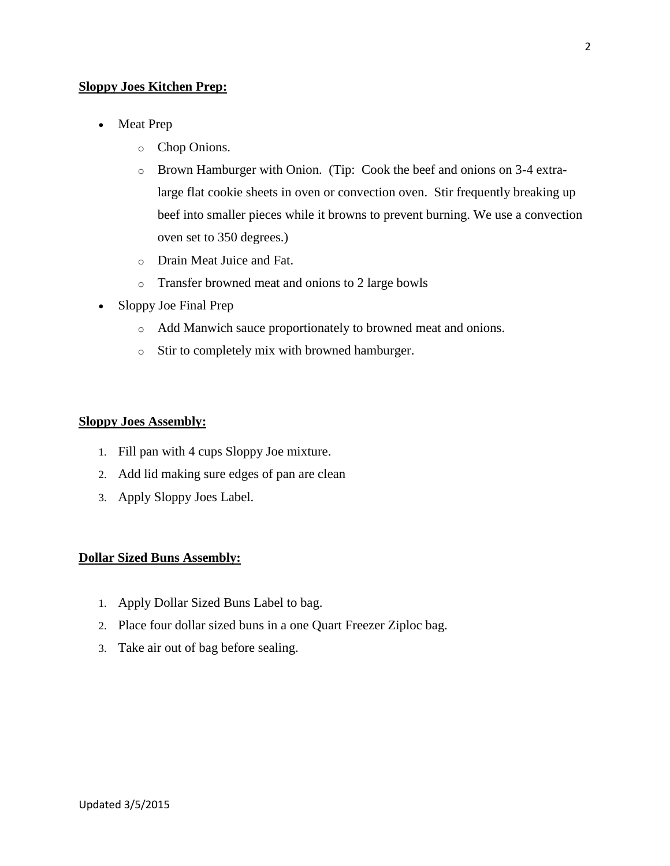#### **Sloppy Joes Kitchen Prep:**

- Meat Prep
	- o Chop Onions.
	- o Brown Hamburger with Onion. (Tip: Cook the beef and onions on 3-4 extralarge flat cookie sheets in oven or convection oven. Stir frequently breaking up beef into smaller pieces while it browns to prevent burning. We use a convection oven set to 350 degrees.)
	- o Drain Meat Juice and Fat.
	- o Transfer browned meat and onions to 2 large bowls
- Sloppy Joe Final Prep
	- o Add Manwich sauce proportionately to browned meat and onions.
	- o Stir to completely mix with browned hamburger.

#### **Sloppy Joes Assembly:**

- 1. Fill pan with 4 cups Sloppy Joe mixture.
- 2. Add lid making sure edges of pan are clean
- 3. Apply Sloppy Joes Label.

#### **Dollar Sized Buns Assembly:**

- 1. Apply Dollar Sized Buns Label to bag.
- 2. Place four dollar sized buns in a one Quart Freezer Ziploc bag.
- 3. Take air out of bag before sealing.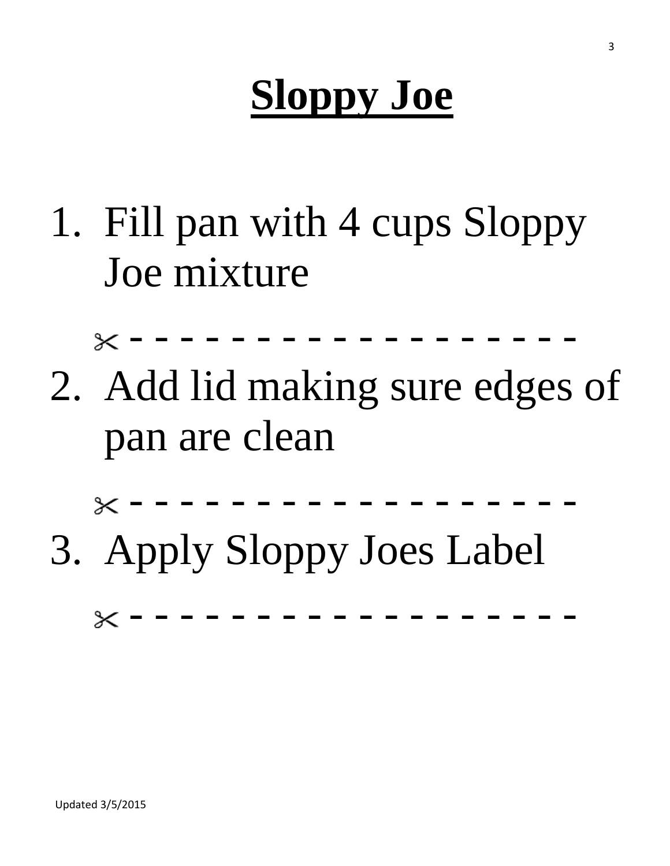# **Sloppy Joe**

1. Fill pan with 4 cups Sloppy Joe mixture

- - - - - - - - - - - - - - - - - -

2. Add lid making sure edges of pan are clean



3. Apply Sloppy Joes Label

- - - - - - - - - - - - - - - - - - $\times$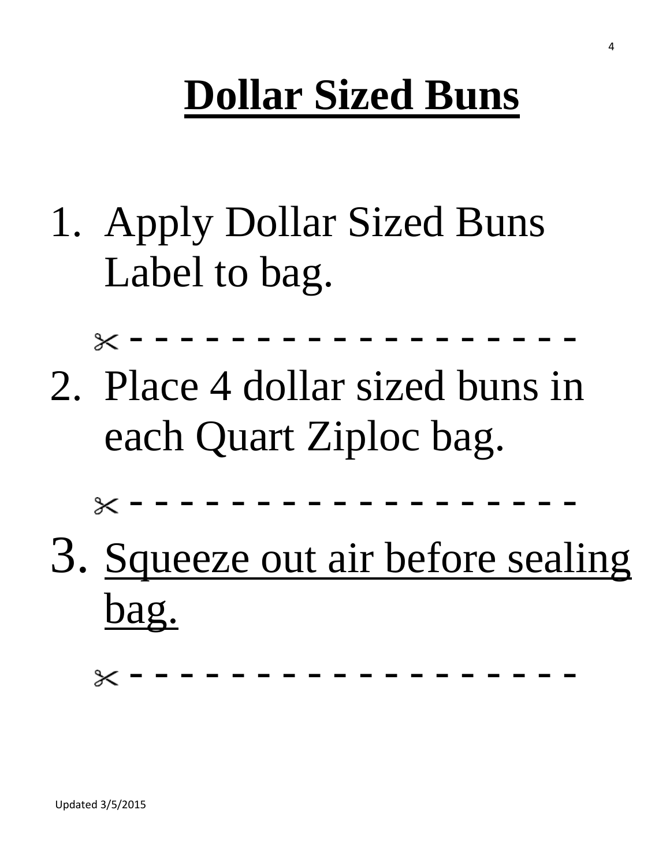# **Dollar Sized Buns**

1. Apply Dollar Sized Buns Label to bag.

- - - - - - - - - - - - - - - - - -

2. Place 4 dollar sized buns in each Quart Ziploc bag.

- - - - - - - - - - - - - - - - - -

3. Squeeze out air before sealing bag.

- - - - - - - - - - - - - - - - - -